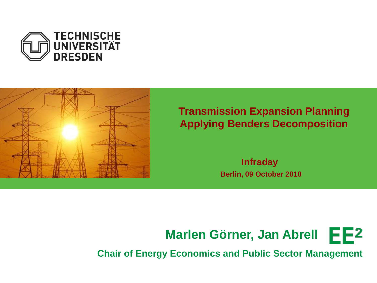



#### **Transmission Expansion Planning Applying Benders Decomposition**

**Infraday Berlin, 09 October 2010**



**Chair of Energy Economics and Public Sector Management**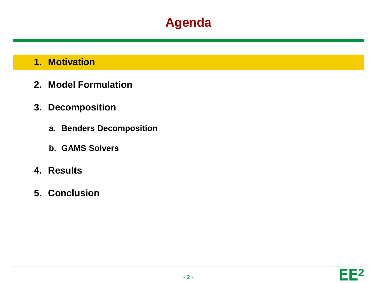#### **1. Motivation**

- **2. Model Formulation**
- **3. Decomposition**
	- **a. Benders Decomposition**
	- **b. GAMS Solvers**
- **4. Results**
- **5. Conclusion**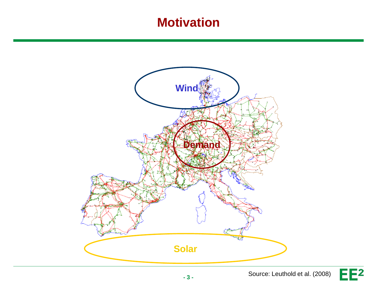### **Motivation**



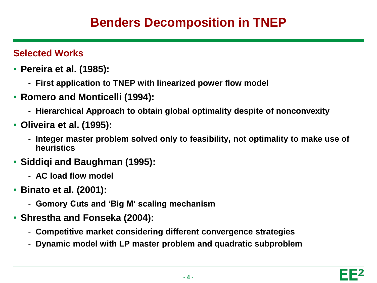### **Benders Decomposition in TNEP**

#### **Selected Works**

- **Pereira et al. (1985):** 
	- **First application to TNEP with linearized power flow model**
- **Romero and Monticelli (1994):**
	- **Hierarchical Approach to obtain global optimality despite of nonconvexity**
- **Oliveira et al. (1995):**
	- **Integer master problem solved only to feasibility, not optimality to make use of heuristics**
- **Siddiqi and Baughman (1995):**
	- **AC load flow model**
- **Binato et al. (2001):**
	- **Gomory Cuts and 'Big M' scaling mechanism**
- **Shrestha and Fonseka (2004):**
	- **Competitive market considering different convergence strategies**
	- **Dynamic model with LP master problem and quadratic subproblem**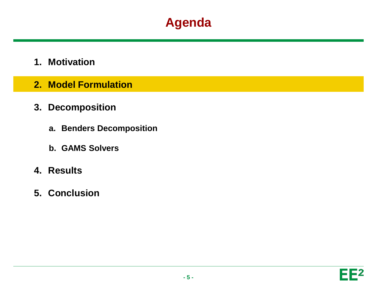- **1. Motivation**
- **2. Model Formulation**
- **3. Decomposition**
	- **a. Benders Decomposition**
	- **b. GAMS Solvers**
- **4. Results**
- **5. Conclusion**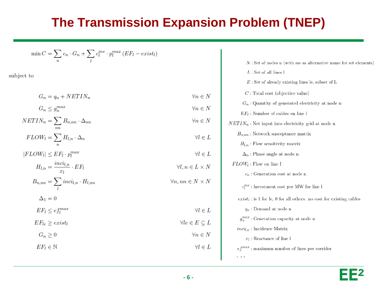## **The Transmission Expansion Problem (TNEP)**

 $\forall n \in N$ 

 $\forall n \in N$ 

 $\forall n \in N$ 

 $\forall l \in L$ 

 $\forall l \in L$ 

 $\forall l \in L$ 

 $\forall le \in E \subseteq L$ 

 $\forall n, nn \in N \times N$ 

$$
\min C = \sum_{n} c_n \cdot G_n + \sum_{l} c_l^{inv} \cdot p_l^{max} (EF_l - exist_l)
$$

subject to

 $G_n = q_n + NETIN_n$ 

$$
G_n \le g_n^{max}
$$

$$
NETIN_n = \sum_{nn} B_{n,nn} \cdot \Delta_{nn}
$$

$$
FLOW_l = \sum_{n} H_{l,n} \cdot \Delta_n
$$

 $|FLOW_l| \leq EF_l \cdot p_l^{max}$ 

$$
H_{l,n} = \frac{inci_{l,n}}{x_l} \cdot EF_l \qquad \qquad \forall l, n \in L \times N
$$

$$
B_{n,nn} = \sum_{l} inci_{l,n} \cdot H_{l,nn}
$$

$$
\Delta_1=0
$$

 $EF_l \leq e f_l^{max}$ 

 $EF_{le} \geq exist_{l}$ 

$$
G_n \ge 0 \qquad \qquad \forall n \in N
$$
  

$$
EF_l \in \mathbb{N} \qquad \qquad \forall l \in L
$$

| $N:$ Set of nodes n (with nn as alternative name for set elements)     |
|------------------------------------------------------------------------|
| $L:$ Set of all lines l                                                |
| $E:$ Set of already existing lines le, subset of L                     |
| $C$ : Total cost (objective value)                                     |
| $G_n$ : Quantity of generated electricity at node n                    |
| $EF_l$ : Number of cables on line l                                    |
| $NETIN_n$ : Net input into electricity grid at node n                  |
| $B_{n,nn}$ : Network susceptance matrix                                |
| $H_{l,n}$ : Flow sensitivity matrix                                    |
| $\Delta_n$ : Phase angle at node n                                     |
| $FLOW_l$ : Flow on line l                                              |
| $c_n$ : Generation cost at node n                                      |
| $c_l^{inv}$ : Investment cost per MW for line l                        |
| $exist_l$ : is 1 for le, 0 for all others: no cost for existing cables |
| $q_n$ : Demand at node n                                               |
| $g_n^{max}$ : Generation capacity at node n                            |
| $\text{inci}_{l,n}$ : Incidence Matrix                                 |
| $x_l$ : Reactance of line l                                            |
| $ef^{max}$ : maximum number of lines per corridor                      |
|                                                                        |

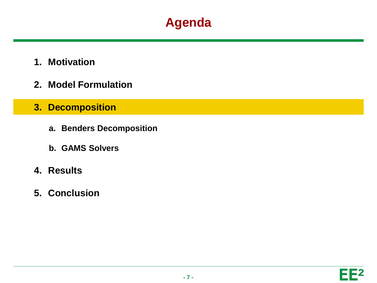- **1. Motivation**
- **2. Model Formulation**
- **3. Decomposition**
	- **a. Benders Decomposition**
	- **b. GAMS Solvers**
- **4. Results**
- **5. Conclusion**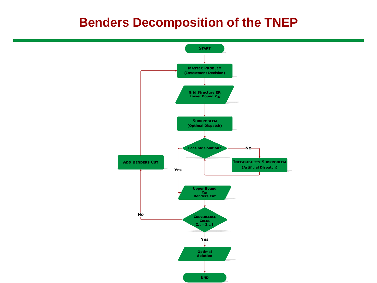#### **Benders Decomposition of the TNEP**

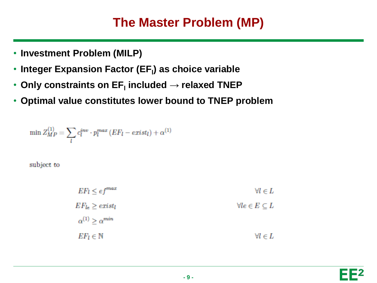### **The Master Problem (MP)**

- **Investment Problem (MILP)**
- **Integer Expansion Factor (EF<sup>l</sup> ) as choice variable**
- **Only constraints on EF<sup>l</sup> included → relaxed TNEP**
- **Optimal value constitutes lower bound to TNEP problem**

$$
\min Z_{MP}^{(1)} = \sum_{l} c_l^{inv} \cdot p_l^{max} (EF_l - exist_l) + \alpha^{(1)}
$$

subject to

| $EF_l \leq ef^{max}$          | $\forall l \in L$              |
|-------------------------------|--------------------------------|
| $EF_{le}\geq exist_{l}$       | $\forall le \in E \subseteq L$ |
| $\alpha^{(1)} > \alpha^{min}$ |                                |
| $EF_l \in \mathbb{N}$         | $\forall l \in L$              |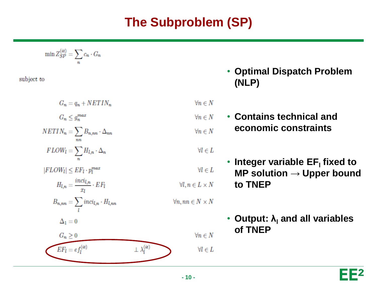# **The Subproblem (SP)**

$$
\min Z_{SP}^{(it)} = \sum_n c_n \cdot G_n
$$

subject to

$$
G_n = q_n + NETIN_n
$$
  
\n
$$
G_n \leq g_n^{max}
$$
  
\n
$$
NETIN_n = \sum_{nn} B_{n,nn} \cdot \Delta_{nn}
$$
  
\n
$$
FLOW_l = \sum_{n} H_{l,n} \cdot \Delta_n
$$
  
\n
$$
|FLOW_l| \leq EF_l \cdot p_l^{max}
$$
  
\n
$$
H_{l,n} = \frac{inci_{l,n}}{x_l} \cdot EF_l
$$
  
\n
$$
B_{n,nn} = \sum_{l} inci_{l,n} \cdot H_{l,nn}
$$

 $\Delta_1=0$ 



• **Optimal Dispatch Problem (NLP)**

 $\forall n \in N$ 

• **Contains technical and**   $\forall n \in N$ **economic constraints**  $\forall n \in N$ 

**to TNEP**

#### $\forall l \in L$

 $\forall l \in L$ 

 $\forall n \in N$ 

 $\forall l \in L$ 

 $\forall l, n \in L \times N$ 

 $\forall n, nn \in N \times N$ 

• **Output: λ<sup>l</sup> and all variables of TNEP**

**• Integer variable EF<sub>I</sub>** fixed to

**MP solution → Upper bound**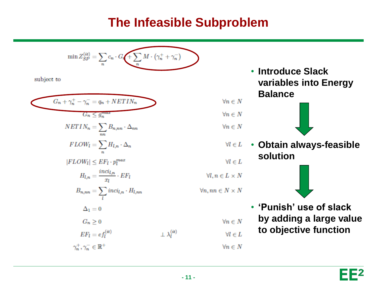### **The Infeasible Subproblem**

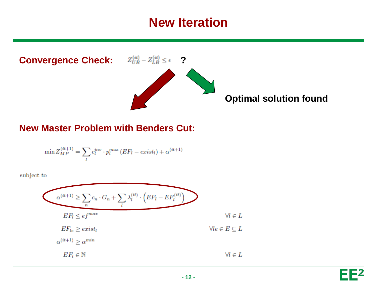#### **New Iteration**



#### **New Master Problem with Benders Cut:**

$$
\min Z_{MP}^{(it+1)} = \sum_{l} c_l^{inv} \cdot p_l^{max} (EF_l - exist_l) + \alpha^{(it+1)}
$$

subject to

$$
\alpha^{(it+1)} \ge \sum_{n} c_n \cdot G_n + \sum_{l} \lambda_l^{(it)} \cdot \left( EF_l - EF_l^{(it)} \right)
$$
  
\n
$$
EF_l \le e f^{max}
$$
  
\n
$$
EF_{le} \ge exist_l
$$
  
\n
$$
\alpha^{(it+1)} \ge \alpha^{min}
$$
  
\n
$$
EF_l \in \mathbb{N}
$$
  
\n
$$
\forall l \in L
$$
  
\n
$$
\forall l \in L
$$
  
\n
$$
\forall l \in L
$$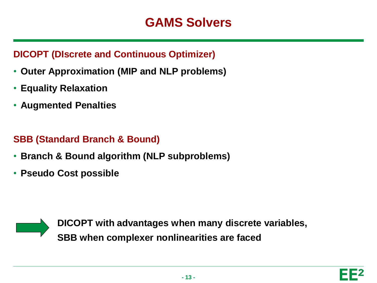#### **DICOPT (DIscrete and Continuous Optimizer)**

- **Outer Approximation (MIP and NLP problems)**
- **Equality Relaxation**
- **Augmented Penalties**

#### **SBB (Standard Branch & Bound)**

- **Branch & Bound algorithm (NLP subproblems)**
- **Pseudo Cost possible**



**DICOPT with advantages when many discrete variables, SBB when complexer nonlinearities are faced**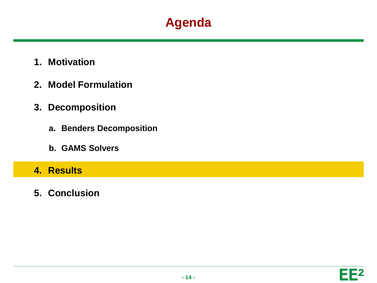- **1. Motivation**
- **2. Model Formulation**
- **3. Decomposition**
	- **a. Benders Decomposition**
	- **b. GAMS Solvers**

#### **4. Results**

**5. Conclusion**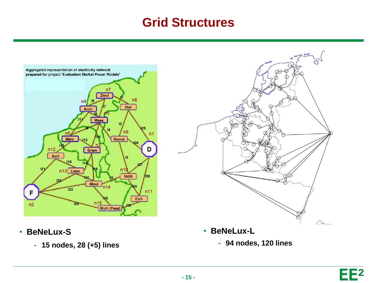### **Grid Structures**



- **BeNeLux-S**
	- **15 nodes, 28 (+5) lines**



- **BeNeLux-L**
	- **94 nodes, 120 lines**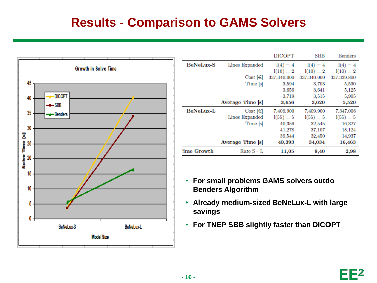## **Results - Comparison to GAMS Solvers**



|                  |                  | <b>DICOPT</b> | SBB         | <b>Benders</b> |
|------------------|------------------|---------------|-------------|----------------|
| <b>BeNeLux-S</b> | Lines Expanded   | $1(4) = 4$    | $1(4) = 4$  | $1(4) = 4$     |
|                  |                  | $l(10) = 2$   | $l(10) = 2$ | $l(10) = 2$    |
|                  | $Cost$ [ $\in$ ] | 337.340.000   | 337.340.000 | 337.339.800    |
|                  | Time [s]         | 3,594         | 3,703       | 5,530          |
|                  |                  | 3,656         | 3,641       | 5,125          |
|                  |                  | 3,719         | 3,515       | 5,905          |
|                  | Average Time [s] | 3,656         | 3,620       | 5,520          |
| BeNeLux-L        | $Cost$ [ $\in$ ] | 7.409.900     | 7.409.900   | 7.347.008      |
|                  | Lines Expanded   | $1(55) = 5$   | $1(55) = 5$ | $1(55) = 5$    |
|                  | Time [s]         | 40,356        | 32,545      | 16,327         |
|                  |                  | 41,278        | 37,107      | 18,124         |
|                  |                  | 39,544        | 32,450      | 14,937         |
|                  | Average Time [s] | 40,393        | 34,034      | 16,463         |
| 'ime Growth      | Rate S - L       | 11,05         | 9,40        | 2,98           |

- **For small problems GAMS solvers outdo Benders Algorithm**
- **Already medium-sized BeNeLux-L with large savings**
- **For TNEP SBB slightly faster than DICOPT**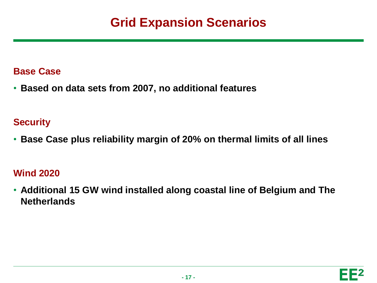## **Grid Expansion Scenarios**

#### **Base Case**

• **Based on data sets from 2007, no additional features**

#### **Security**

• **Base Case plus reliability margin of 20% on thermal limits of all lines**

#### **Wind 2020**

• **Additional 15 GW wind installed along coastal line of Belgium and The Netherlands**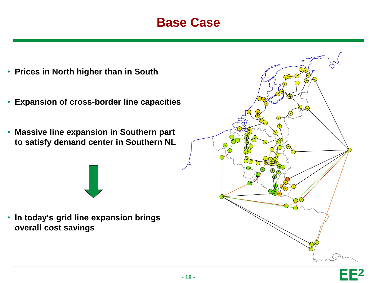### **Base Case**

- **Prices in North higher than in South**
- **Expansion of cross-border line capacities**
- **Massive line expansion in Southern part to satisfy demand center in Southern NL**

• **In today's grid line expansion brings overall cost savings**

**- 18 -**



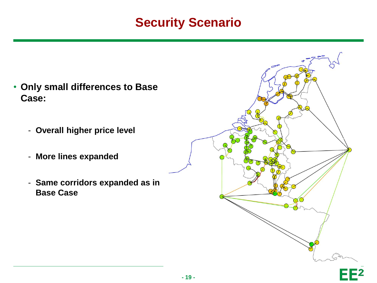### **Security Scenario**

- **Only small differences to Base Case:**
	- **Overall higher price level**
	- **More lines expanded**
	- **Same corridors expanded as in Base Case**

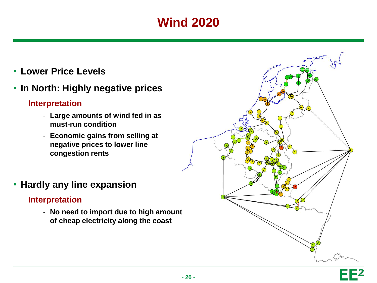# **Wind 2020**

- **Lower Price Levels**
- **In North: Highly negative prices**

#### **Interpretation**

- **Large amounts of wind fed in as must-run condition**
- **Economic gains from selling at negative prices to lower line congestion rents**
- **Hardly any line expansion**

#### **Interpretation**

- **No need to import due to high amount of cheap electricity along the coast**

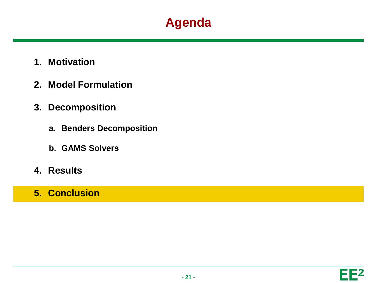- **1. Motivation**
- **2. Model Formulation**
- **3. Decomposition**
	- **a. Benders Decomposition**
	- **b. GAMS Solvers**
- **4. Results**
- **5. Conclusion**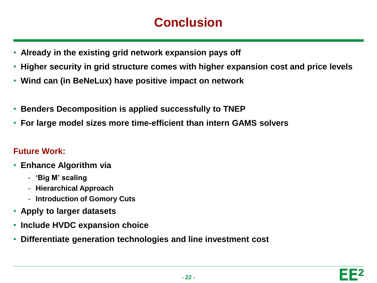## **Conclusion**

- **Already in the existing grid network expansion pays off**
- **Higher security in grid structure comes with higher expansion cost and price levels**
- **Wind can (in BeNeLux) have positive impact on network**
- **Benders Decomposition is applied successfully to TNEP**
- **For large model sizes more time-efficient than intern GAMS solvers**

#### **Future Work:**

- **Enhance Algorithm via**
	- **'Big M' scaling**
	- **Hierarchical Approach**
	- **Introduction of Gomory Cuts**
- **Apply to larger datasets**
- **Include HVDC expansion choice**
- **Differentiate generation technologies and line investment cost**